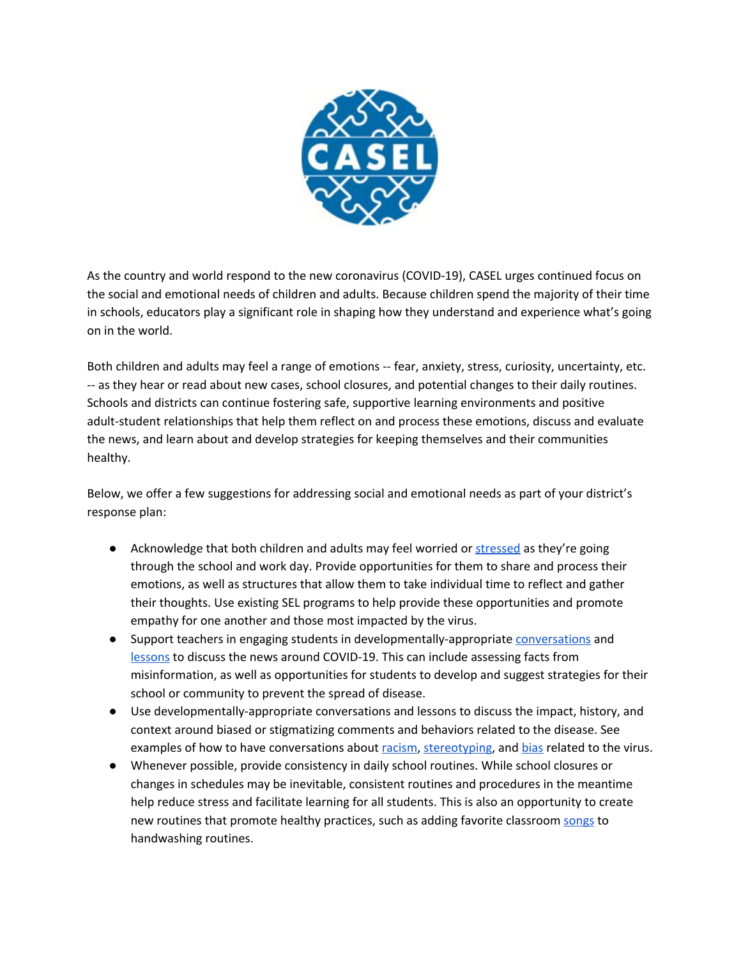

As the country and world respond to the new coronavirus (COVID-19), CASEL urges continued focus on the social and emotional needs of children and adults. Because children spend the majority of their time in schools, educators play a significant role in shaping how they understand and experience what's going on in the world.

Both children and adults may feel a range of emotions -- fear, anxiety, stress, curiosity, uncertainty, etc. -- as they hear or read about new cases, school closures, and potential changes to their daily routines. Schools and districts can continue fostering safe, supportive learning environments and positive adult-student relationships that help them reflect on and process these emotions, discuss and evaluate the news, and learn about and develop strategies for keeping themselves and their communities healthy.

Below, we offer a few suggestions for addressing social and emotional needs as part of your district's response plan:

- Acknowledge that both children and adults may feel worried or [stressed](https://store.samhsa.gov/system/files/sma14-4885.pdf) as they're going through the school and work day. Provide opportunities for them to share and process their emotions, as well as structures that allow them to take individual time to reflect and gather their thoughts. Use existing SEL programs to help provide these opportunities and promote empathy for one another and those most impacted by the virus.
- Support teachers in engaging students in developmentally-appropriate [conversations](https://www.morningsidecenter.org/teachable-moment/lessons/guidelines-talking-students-about-coronavirus) and [lessons](http://blogs.edweek.org/teachers/teaching_now/2020/03/teaching_about_coronavirus_3_lesson_plans_for_science_math_and_media_literacy.html) to discuss the news around COVID-19. This can include assessing facts from misinformation, as well as opportunities for students to develop and suggest strategies for their school or community to prevent the spread of disease.
- Use developmentally-appropriate conversations and lessons to discuss the impact, history, and context around biased or stigmatizing comments and behaviors related to the disease. See examples of how to have conversations about [racism](https://www.tolerance.org/magazine/speaking-up-against-racism-around-the-new-coronavirus), [stereotyping](https://www.adl.org/blog/the-coronavirus-surfaces-fear-stereotypes-and-scapegoating), and [bias](https://www.morningsidecenter.org/teachable-moment/lessons/coronavirus-countering-biased-responses) related to the virus.
- Whenever possible, provide consistency in daily school routines. While school closures or changes in schedules may be inevitable, consistent routines and procedures in the meantime help reduce stress and facilitate learning for all students. This is also an opportunity to create new routines that promote healthy practices, such as adding favorite classroom [songs](https://magic1019.radio.com/blogs/annette-wade/wash-your-hands-for-20-seconds-here-are-songs-to-help) to handwashing routines.